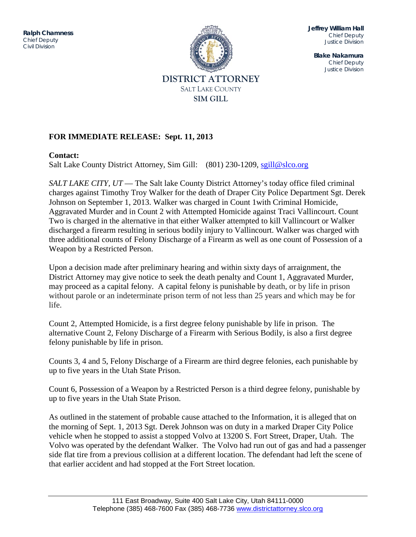JUSTICE DIVISION **Ralph Chamness**  *Chief Deputy Civil Division*



**Jeffrey William Hall** *Chief Deputy Justice Division*

**Blake Nakamura** *Chief Deputy Justice Division*

# **FOR IMMEDIATE RELEASE: Sept. 11, 2013**

## **Contact:**

Salt Lake County District Attorney, Sim Gill: (801) 230-1209, [sgill@slco.org](mailto:sgill@slco.org)

*SALT LAKE CITY, UT* — The Salt lake County District Attorney's today office filed criminal charges against Timothy Troy Walker for the death of Draper City Police Department Sgt. Derek Johnson on September 1, 2013. Walker was charged in Count 1with Criminal Homicide, Aggravated Murder and in Count 2 with Attempted Homicide against Traci Vallincourt. Count Two is charged in the alternative in that either Walker attempted to kill Vallincourt or Walker discharged a firearm resulting in serious bodily injury to Vallincourt. Walker was charged with three additional counts of Felony Discharge of a Firearm as well as one count of Possession of a Weapon by a Restricted Person.

Upon a decision made after preliminary hearing and within sixty days of arraignment, the District Attorney may give notice to seek the death penalty and Count 1, Aggravated Murder, may proceed as a capital felony. A capital felony is punishable by death, or by life in prison without parole or an indeterminate prison term of not less than 25 years and which may be for life.

Count 2, Attempted Homicide, is a first degree felony punishable by life in prison. The alternative Count 2, Felony Discharge of a Firearm with Serious Bodily, is also a first degree felony punishable by life in prison.

Counts 3, 4 and 5, Felony Discharge of a Firearm are third degree felonies, each punishable by up to five years in the Utah State Prison.

Count 6, Possession of a Weapon by a Restricted Person is a third degree felony, punishable by up to five years in the Utah State Prison.

As outlined in the statement of probable cause attached to the Information, it is alleged that on the morning of Sept. 1, 2013 Sgt. Derek Johnson was on duty in a marked Draper City Police vehicle when he stopped to assist a stopped Volvo at 13200 S. Fort Street, Draper, Utah. The Volvo was operated by the defendant Walker. The Volvo had run out of gas and had a passenger side flat tire from a previous collision at a different location. The defendant had left the scene of that earlier accident and had stopped at the Fort Street location.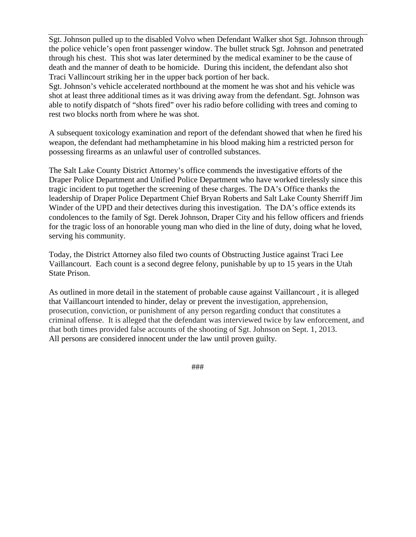Sgt. Johnson pulled up to the disabled Volvo when Defendant Walker shot Sgt. Johnson through the police vehicle's open front passenger window. The bullet struck Sgt. Johnson and penetrated through his chest. This shot was later determined by the medical examiner to be the cause of death and the manner of death to be homicide. During this incident, the defendant also shot Traci Vallincourt striking her in the upper back portion of her back.

Sgt. Johnson's vehicle accelerated northbound at the moment he was shot and his vehicle was shot at least three additional times as it was driving away from the defendant. Sgt. Johnson was able to notify dispatch of "shots fired" over his radio before colliding with trees and coming to rest two blocks north from where he was shot.

A subsequent toxicology examination and report of the defendant showed that when he fired his weapon, the defendant had methamphetamine in his blood making him a restricted person for possessing firearms as an unlawful user of controlled substances.

The Salt Lake County District Attorney's office commends the investigative efforts of the Draper Police Department and Unified Police Department who have worked tirelessly since this tragic incident to put together the screening of these charges. The DA's Office thanks the leadership of Draper Police Department Chief Bryan Roberts and Salt Lake County Sherriff Jim Winder of the UPD and their detectives during this investigation. The DA's office extends its condolences to the family of Sgt. Derek Johnson, Draper City and his fellow officers and friends for the tragic loss of an honorable young man who died in the line of duty, doing what he loved, serving his community.

Today, the District Attorney also filed two counts of Obstructing Justice against Traci Lee Vaillancourt. Each count is a second degree felony, punishable by up to 15 years in the Utah State Prison.

As outlined in more detail in the statement of probable cause against Vaillancourt , it is alleged that Vaillancourt intended to hinder, delay or prevent the investigation, apprehension, prosecution, conviction, or punishment of any person regarding conduct that constitutes a criminal offense. It is alleged that the defendant was interviewed twice by law enforcement, and that both times provided false accounts of the shooting of Sgt. Johnson on Sept. 1, 2013. All persons are considered innocent under the law until proven guilty.

###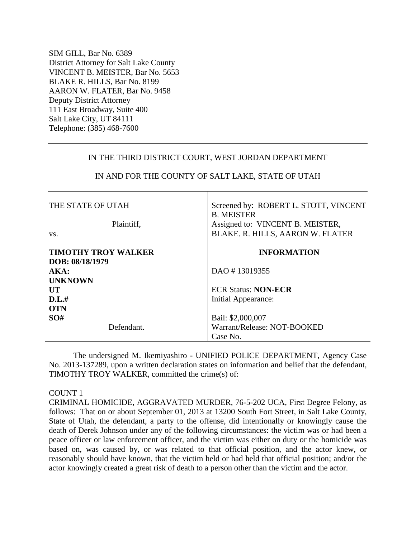SIM GILL, Bar No. 6389 District Attorney for Salt Lake County VINCENT B. MEISTER, Bar No. 5653 BLAKE R. HILLS, Bar No. 8199 AARON W. FLATER, Bar No. 9458 Deputy District Attorney 111 East Broadway, Suite 400 Salt Lake City, UT 84111 Telephone: (385) 468-7600

### IN THE THIRD DISTRICT COURT, WEST JORDAN DEPARTMENT

| THE STATE OF UTAH<br>Plaintiff,<br>VS.        | Screened by: ROBERT L. STOTT, VINCENT<br><b>B. MEISTER</b><br>Assigned to: VINCENT B. MEISTER,<br>BLAKE. R. HILLS, AARON W. FLATER |  |
|-----------------------------------------------|------------------------------------------------------------------------------------------------------------------------------------|--|
| <b>TIMOTHY TROY WALKER</b><br>DOB: 08/18/1979 | <b>INFORMATION</b>                                                                                                                 |  |
| AKA:                                          | DAO #13019355                                                                                                                      |  |
| <b>UNKNOWN</b><br>UT                          | <b>ECR Status: NON-ECR</b>                                                                                                         |  |
| D.L.#<br><b>OTN</b>                           | Initial Appearance:                                                                                                                |  |
| SO#                                           | Bail: \$2,000,007                                                                                                                  |  |
| Defendant.                                    | Warrant/Release: NOT-BOOKED                                                                                                        |  |
|                                               | Case No.                                                                                                                           |  |

# IN AND FOR THE COUNTY OF SALT LAKE, STATE OF UTAH

The undersigned M. Ikemiyashiro - UNIFIED POLICE DEPARTMENT, Agency Case No. 2013-137289, upon a written declaration states on information and belief that the defendant, TIMOTHY TROY WALKER, committed the crime(s) of:

### COUNT 1

CRIMINAL HOMICIDE, AGGRAVATED MURDER, 76-5-202 UCA, First Degree Felony, as follows: That on or about September 01, 2013 at 13200 South Fort Street, in Salt Lake County, State of Utah, the defendant, a party to the offense, did intentionally or knowingly cause the death of Derek Johnson under any of the following circumstances: the victim was or had been a peace officer or law enforcement officer, and the victim was either on duty or the homicide was based on, was caused by, or was related to that official position, and the actor knew, or reasonably should have known, that the victim held or had held that official position; and/or the actor knowingly created a great risk of death to a person other than the victim and the actor.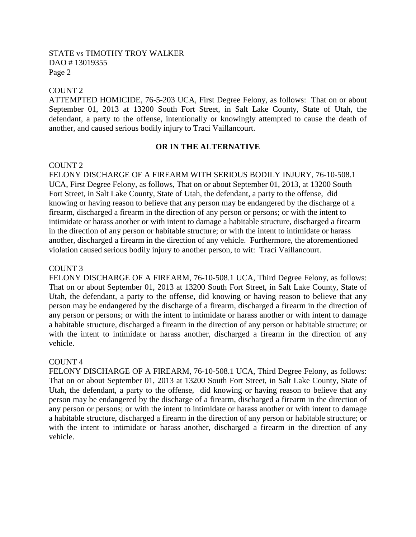## COUNT 2

ATTEMPTED HOMICIDE, 76-5-203 UCA, First Degree Felony, as follows: That on or about September 01, 2013 at 13200 South Fort Street, in Salt Lake County, State of Utah, the defendant, a party to the offense, intentionally or knowingly attempted to cause the death of another, and caused serious bodily injury to Traci Vaillancourt.

## **OR IN THE ALTERNATIVE**

## COUNT 2

FELONY DISCHARGE OF A FIREARM WITH SERIOUS BODILY INJURY, 76-10-508.1 UCA, First Degree Felony, as follows, That on or about September 01, 2013, at 13200 South Fort Street, in Salt Lake County, State of Utah, the defendant, a party to the offense, did knowing or having reason to believe that any person may be endangered by the discharge of a firearm, discharged a firearm in the direction of any person or persons; or with the intent to intimidate or harass another or with intent to damage a habitable structure, discharged a firearm in the direction of any person or habitable structure; or with the intent to intimidate or harass another, discharged a firearm in the direction of any vehicle. Furthermore, the aforementioned violation caused serious bodily injury to another person, to wit: Traci Vaillancourt.

### COUNT 3

FELONY DISCHARGE OF A FIREARM, 76-10-508.1 UCA, Third Degree Felony, as follows: That on or about September 01, 2013 at 13200 South Fort Street, in Salt Lake County, State of Utah, the defendant, a party to the offense, did knowing or having reason to believe that any person may be endangered by the discharge of a firearm, discharged a firearm in the direction of any person or persons; or with the intent to intimidate or harass another or with intent to damage a habitable structure, discharged a firearm in the direction of any person or habitable structure; or with the intent to intimidate or harass another, discharged a firearm in the direction of any vehicle.

### COUNT 4

FELONY DISCHARGE OF A FIREARM, 76-10-508.1 UCA, Third Degree Felony, as follows: That on or about September 01, 2013 at 13200 South Fort Street, in Salt Lake County, State of Utah, the defendant, a party to the offense, did knowing or having reason to believe that any person may be endangered by the discharge of a firearm, discharged a firearm in the direction of any person or persons; or with the intent to intimidate or harass another or with intent to damage a habitable structure, discharged a firearm in the direction of any person or habitable structure; or with the intent to intimidate or harass another, discharged a firearm in the direction of any vehicle.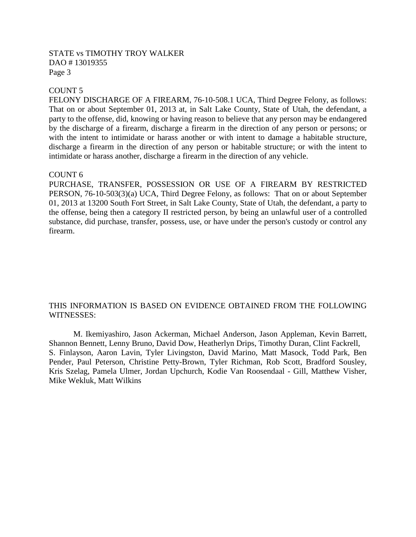# COUNT 5

FELONY DISCHARGE OF A FIREARM, 76-10-508.1 UCA, Third Degree Felony, as follows: That on or about September 01, 2013 at, in Salt Lake County, State of Utah, the defendant, a party to the offense, did, knowing or having reason to believe that any person may be endangered by the discharge of a firearm, discharge a firearm in the direction of any person or persons; or with the intent to intimidate or harass another or with intent to damage a habitable structure, discharge a firearm in the direction of any person or habitable structure; or with the intent to intimidate or harass another, discharge a firearm in the direction of any vehicle.

#### COUNT 6

PURCHASE, TRANSFER, POSSESSION OR USE OF A FIREARM BY RESTRICTED PERSON, 76-10-503(3)(a) UCA, Third Degree Felony, as follows: That on or about September 01, 2013 at 13200 South Fort Street, in Salt Lake County, State of Utah, the defendant, a party to the offense, being then a category II restricted person, by being an unlawful user of a controlled substance, did purchase, transfer, possess, use, or have under the person's custody or control any firearm.

## THIS INFORMATION IS BASED ON EVIDENCE OBTAINED FROM THE FOLLOWING WITNESSES:

M. Ikemiyashiro, Jason Ackerman, Michael Anderson, Jason Appleman, Kevin Barrett, Shannon Bennett, Lenny Bruno, David Dow, Heatherlyn Drips, Timothy Duran, Clint Fackrell, S. Finlayson, Aaron Lavin, Tyler Livingston, David Marino, Matt Masock, Todd Park, Ben Pender, Paul Peterson, Christine Petty-Brown, Tyler Richman, Rob Scott, Bradford Sousley, Kris Szelag, Pamela Ulmer, Jordan Upchurch, Kodie Van Roosendaal - Gill, Matthew Visher, Mike Wekluk, Matt Wilkins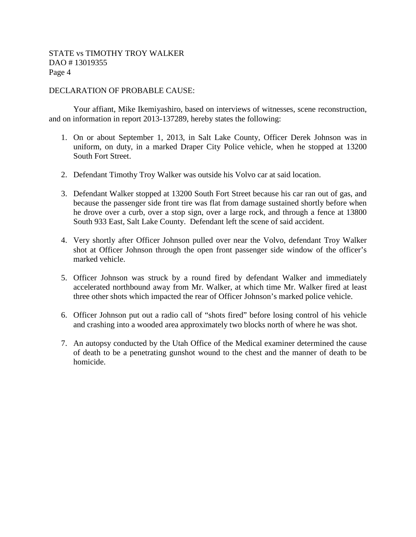## DECLARATION OF PROBABLE CAUSE:

Your affiant, Mike Ikemiyashiro, based on interviews of witnesses, scene reconstruction, and on information in report 2013-137289, hereby states the following:

- 1. On or about September 1, 2013, in Salt Lake County, Officer Derek Johnson was in uniform, on duty, in a marked Draper City Police vehicle, when he stopped at 13200 South Fort Street.
- 2. Defendant Timothy Troy Walker was outside his Volvo car at said location.
- 3. Defendant Walker stopped at 13200 South Fort Street because his car ran out of gas, and because the passenger side front tire was flat from damage sustained shortly before when he drove over a curb, over a stop sign, over a large rock, and through a fence at 13800 South 933 East, Salt Lake County. Defendant left the scene of said accident.
- 4. Very shortly after Officer Johnson pulled over near the Volvo, defendant Troy Walker shot at Officer Johnson through the open front passenger side window of the officer's marked vehicle.
- 5. Officer Johnson was struck by a round fired by defendant Walker and immediately accelerated northbound away from Mr. Walker, at which time Mr. Walker fired at least three other shots which impacted the rear of Officer Johnson's marked police vehicle.
- 6. Officer Johnson put out a radio call of "shots fired" before losing control of his vehicle and crashing into a wooded area approximately two blocks north of where he was shot.
- 7. An autopsy conducted by the Utah Office of the Medical examiner determined the cause of death to be a penetrating gunshot wound to the chest and the manner of death to be homicide.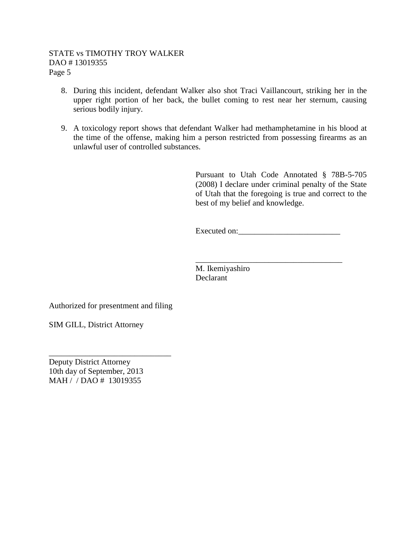- 8. During this incident, defendant Walker also shot Traci Vaillancourt, striking her in the upper right portion of her back, the bullet coming to rest near her sternum, causing serious bodily injury.
- 9. A toxicology report shows that defendant Walker had methamphetamine in his blood at the time of the offense, making him a person restricted from possessing firearms as an unlawful user of controlled substances.

Pursuant to Utah Code Annotated § 78B-5-705 (2008) I declare under criminal penalty of the State of Utah that the foregoing is true and correct to the best of my belief and knowledge.

Executed on:\_\_\_\_\_\_\_\_\_\_\_\_\_\_\_\_\_\_\_\_\_\_\_\_\_

\_\_\_\_\_\_\_\_\_\_\_\_\_\_\_\_\_\_\_\_\_\_\_\_\_\_\_\_\_\_\_\_\_\_\_\_

M. Ikemiyashiro Declarant

Authorized for presentment and filing

\_\_\_\_\_\_\_\_\_\_\_\_\_\_\_\_\_\_\_\_\_\_\_\_\_\_\_\_\_\_

SIM GILL, District Attorney

Deputy District Attorney 10th day of September, 2013 MAH / / DAO # 13019355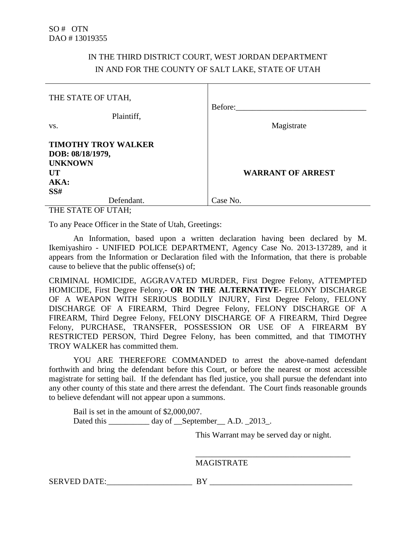# IN THE THIRD DISTRICT COURT, WEST JORDAN DEPARTMENT IN AND FOR THE COUNTY OF SALT LAKE, STATE OF UTAH

| THE STATE OF UTAH,                                                                           | Before:                  |
|----------------------------------------------------------------------------------------------|--------------------------|
| Plaintiff,<br>VS.                                                                            | Magistrate               |
| <b>TIMOTHY TROY WALKER</b><br>DOB: 08/18/1979,<br><b>UNKNOWN</b><br><b>UT</b><br>AKA:<br>SS# | <b>WARRANT OF ARREST</b> |
| Defendant.<br><b>THE COLOR OF LIBRATI</b>                                                    | Case No.                 |

THE STATE OF UTAH;

To any Peace Officer in the State of Utah, Greetings:

An Information, based upon a written declaration having been declared by M. Ikemiyashiro - UNIFIED POLICE DEPARTMENT, Agency Case No. 2013-137289, and it appears from the Information or Declaration filed with the Information, that there is probable cause to believe that the public offense(s) of;

CRIMINAL HOMICIDE, AGGRAVATED MURDER, First Degree Felony, ATTEMPTED HOMICIDE, First Degree Felony,**- OR IN THE ALTERNATIVE-** FELONY DISCHARGE OF A WEAPON WITH SERIOUS BODILY INJURY, First Degree Felony, FELONY DISCHARGE OF A FIREARM, Third Degree Felony, FELONY DISCHARGE OF A FIREARM, Third Degree Felony, FELONY DISCHARGE OF A FIREARM, Third Degree Felony, PURCHASE, TRANSFER, POSSESSION OR USE OF A FIREARM BY RESTRICTED PERSON, Third Degree Felony, has been committed, and that TIMOTHY TROY WALKER has committed them.

YOU ARE THEREFORE COMMANDED to arrest the above-named defendant forthwith and bring the defendant before this Court, or before the nearest or most accessible magistrate for setting bail. If the defendant has fled justice, you shall pursue the defendant into any other county of this state and there arrest the defendant. The Court finds reasonable grounds to believe defendant will not appear upon a summons.

Bail is set in the amount of \$2,000,007. Dated this \_\_\_\_\_\_\_\_\_\_ day of \_\_September\_\_ A.D. \_2013\_.

This Warrant may be served day or night.

\_\_\_\_\_\_\_\_\_\_\_\_\_\_\_\_\_\_\_\_\_\_\_\_\_\_\_\_\_\_\_\_\_\_\_\_\_\_

MAGISTRATE

SERVED DATE:\_\_\_\_\_\_\_\_\_\_\_\_\_\_\_\_\_\_\_\_\_ BY \_\_\_\_\_\_\_\_\_\_\_\_\_\_\_\_\_\_\_\_\_\_\_\_\_\_\_\_\_\_\_\_\_\_\_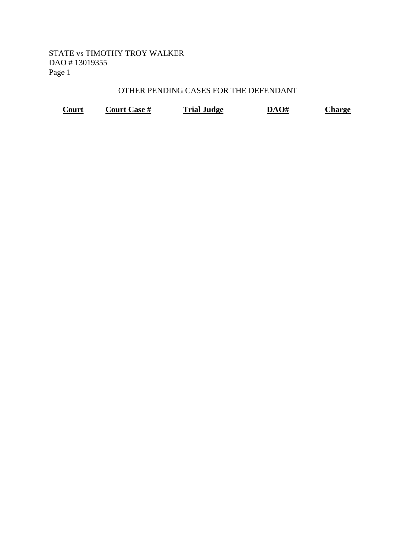# OTHER PENDING CASES FOR THE DEFENDANT

| Court | <b>Court Case #</b> | <b>Trial Judge</b> | DAO# | Charge |
|-------|---------------------|--------------------|------|--------|
|-------|---------------------|--------------------|------|--------|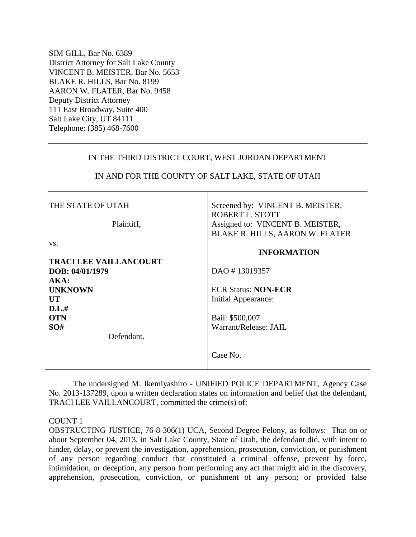SIM GILL, Bar No. 6389 District Attorney for Salt Lake County VINCENT B. MEISTER, Bar No. 5653 BLAKE R. HILLS, Bar No. 8199 AARON W. FLATER, Bar No. 9458 Deputy District Attorney 111 East Broadway, Suite 400 Salt Lake City, UT 84111 Telephone: (385) 468-7600

## IN THE THIRD DISTRICT COURT, WEST JORDAN DEPARTMENT

| THE STATE OF UTAH                                        | Screened by: VINCENT B. MEISTER,<br>ROBERT L. STOTT                        |
|----------------------------------------------------------|----------------------------------------------------------------------------|
| Plaintiff,                                               | Assigned to: VINCENT B. MEISTER,<br><b>BLAKE R. HILLS, AARON W. FLATER</b> |
| VS.                                                      | <b>INFORMATION</b>                                                         |
| <b>TRACI LEE VAILLANCOURT</b><br>DOB: 04/01/1979<br>AKA: | DAO #13019357                                                              |
| <b>UNKNOWN</b><br>UT                                     | <b>ECR Status: NON-ECR</b><br>Initial Appearance:                          |
| D.L.#<br><b>OTN</b><br>SO#                               | Bail: \$500,007<br>Warrant/Release: JAIL                                   |
| Defendant.                                               | Case No.                                                                   |

# IN AND FOR THE COUNTY OF SALT LAKE, STATE OF UTAH

The undersigned M. Ikemiyashiro - UNIFIED POLICE DEPARTMENT, Agency Case No. 2013-137289, upon a written declaration states on information and belief that the defendant, TRACI LEE VAILLANCOURT, committed the crime(s) of:

### COUNT 1

OBSTRUCTING JUSTICE, 76-8-306(1) UCA, Second Degree Felony, as follows: That on or about September 04, 2013, in Salt Lake County, State of Utah, the defendant did, with intent to hinder, delay, or prevent the investigation, apprehension, prosecution, conviction, or punishment of any person regarding conduct that constituted a criminal offense, prevent by force, intimidation, or deception, any person from performing any act that might aid in the discovery, apprehension, prosecution, conviction, or punishment of any person; or provided false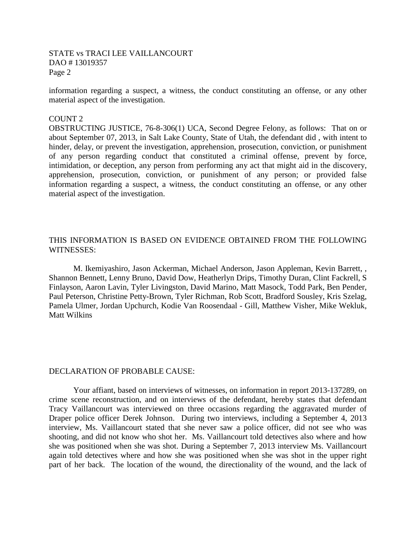## STATE vs TRACI LEE VAILLANCOURT DAO # 13019357 Page 2

information regarding a suspect, a witness, the conduct constituting an offense, or any other material aspect of the investigation.

### COUNT 2

OBSTRUCTING JUSTICE, 76-8-306(1) UCA, Second Degree Felony, as follows: That on or about September 07, 2013, in Salt Lake County, State of Utah, the defendant did , with intent to hinder, delay, or prevent the investigation, apprehension, prosecution, conviction, or punishment of any person regarding conduct that constituted a criminal offense, prevent by force, intimidation, or deception, any person from performing any act that might aid in the discovery, apprehension, prosecution, conviction, or punishment of any person; or provided false information regarding a suspect, a witness, the conduct constituting an offense, or any other material aspect of the investigation.

# THIS INFORMATION IS BASED ON EVIDENCE OBTAINED FROM THE FOLLOWING WITNESSES:

M. Ikemiyashiro, Jason Ackerman, Michael Anderson, Jason Appleman, Kevin Barrett, , Shannon Bennett, Lenny Bruno, David Dow, Heatherlyn Drips, Timothy Duran, Clint Fackrell, S Finlayson, Aaron Lavin, Tyler Livingston, David Marino, Matt Masock, Todd Park, Ben Pender, Paul Peterson, Christine Petty-Brown, Tyler Richman, Rob Scott, Bradford Sousley, Kris Szelag, Pamela Ulmer, Jordan Upchurch, Kodie Van Roosendaal - Gill, Matthew Visher, Mike Wekluk, Matt Wilkins

### DECLARATION OF PROBABLE CAUSE:

Your affiant, based on interviews of witnesses, on information in report 2013-137289, on crime scene reconstruction, and on interviews of the defendant, hereby states that defendant Tracy Vaillancourt was interviewed on three occasions regarding the aggravated murder of Draper police officer Derek Johnson. During two interviews, including a September 4, 2013 interview, Ms. Vaillancourt stated that she never saw a police officer, did not see who was shooting, and did not know who shot her. Ms. Vaillancourt told detectives also where and how she was positioned when she was shot. During a September 7, 2013 interview Ms. Vaillancourt again told detectives where and how she was positioned when she was shot in the upper right part of her back. The location of the wound, the directionality of the wound, and the lack of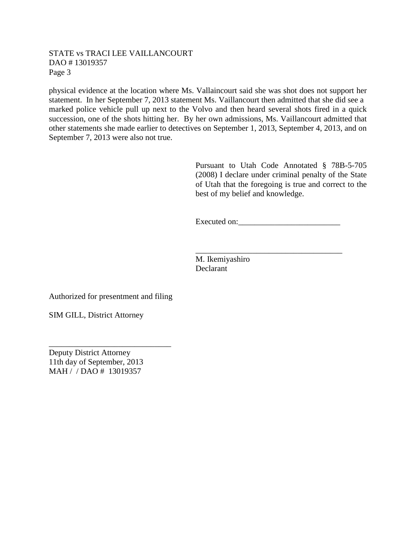## STATE vs TRACI LEE VAILLANCOURT DAO # 13019357 Page 3

physical evidence at the location where Ms. Vallaincourt said she was shot does not support her statement. In her September 7, 2013 statement Ms. Vaillancourt then admitted that she did see a marked police vehicle pull up next to the Volvo and then heard several shots fired in a quick succession, one of the shots hitting her. By her own admissions, Ms. Vaillancourt admitted that other statements she made earlier to detectives on September 1, 2013, September 4, 2013, and on September 7, 2013 were also not true.

> Pursuant to Utah Code Annotated § 78B-5-705 (2008) I declare under criminal penalty of the State of Utah that the foregoing is true and correct to the best of my belief and knowledge.

Executed on:\_\_\_\_\_\_\_\_\_\_\_\_\_\_\_\_\_\_\_\_\_\_\_\_\_

\_\_\_\_\_\_\_\_\_\_\_\_\_\_\_\_\_\_\_\_\_\_\_\_\_\_\_\_\_\_\_\_\_\_\_\_

M. Ikemiyashiro Declarant

Authorized for presentment and filing

\_\_\_\_\_\_\_\_\_\_\_\_\_\_\_\_\_\_\_\_\_\_\_\_\_\_\_\_\_\_

SIM GILL, District Attorney

Deputy District Attorney 11th day of September, 2013 MAH / / DAO # 13019357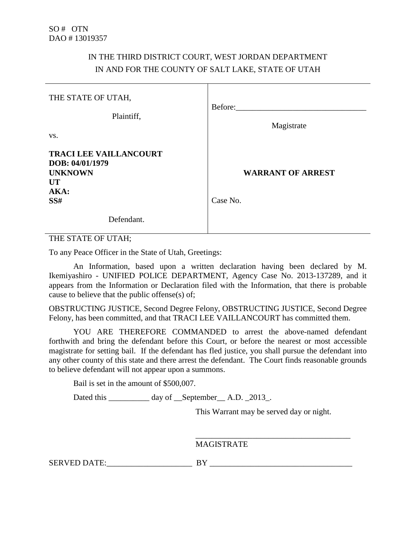# IN THE THIRD DISTRICT COURT, WEST JORDAN DEPARTMENT IN AND FOR THE COUNTY OF SALT LAKE, STATE OF UTAH

| THE STATE OF UTAH,<br>Plaintiff,<br>VS.                                                        | Before:<br>Magistrate                |
|------------------------------------------------------------------------------------------------|--------------------------------------|
| <b>TRACI LEE VAILLANCOURT</b><br>DOB: 04/01/1979<br><b>UNKNOWN</b><br><b>UT</b><br>AKA:<br>SS# | <b>WARRANT OF ARREST</b><br>Case No. |
| Defendant.                                                                                     |                                      |

THE STATE OF UTAH;

To any Peace Officer in the State of Utah, Greetings:

An Information, based upon a written declaration having been declared by M. Ikemiyashiro - UNIFIED POLICE DEPARTMENT, Agency Case No. 2013-137289, and it appears from the Information or Declaration filed with the Information, that there is probable cause to believe that the public offense(s) of;

OBSTRUCTING JUSTICE, Second Degree Felony, OBSTRUCTING JUSTICE, Second Degree Felony, has been committed, and that TRACI LEE VAILLANCOURT has committed them.

YOU ARE THEREFORE COMMANDED to arrest the above-named defendant forthwith and bring the defendant before this Court, or before the nearest or most accessible magistrate for setting bail. If the defendant has fled justice, you shall pursue the defendant into any other county of this state and there arrest the defendant. The Court finds reasonable grounds to believe defendant will not appear upon a summons.

Bail is set in the amount of \$500,007.

Dated this \_\_\_\_\_\_\_\_\_ day of \_\_September\_\_ A.D. \_2013\_.

This Warrant may be served day or night.

\_\_\_\_\_\_\_\_\_\_\_\_\_\_\_\_\_\_\_\_\_\_\_\_\_\_\_\_\_\_\_\_\_\_\_\_\_\_

MAGISTRATE

SERVED DATE:\_\_\_\_\_\_\_\_\_\_\_\_\_\_\_\_\_\_\_\_\_ BY \_\_\_\_\_\_\_\_\_\_\_\_\_\_\_\_\_\_\_\_\_\_\_\_\_\_\_\_\_\_\_\_\_\_\_